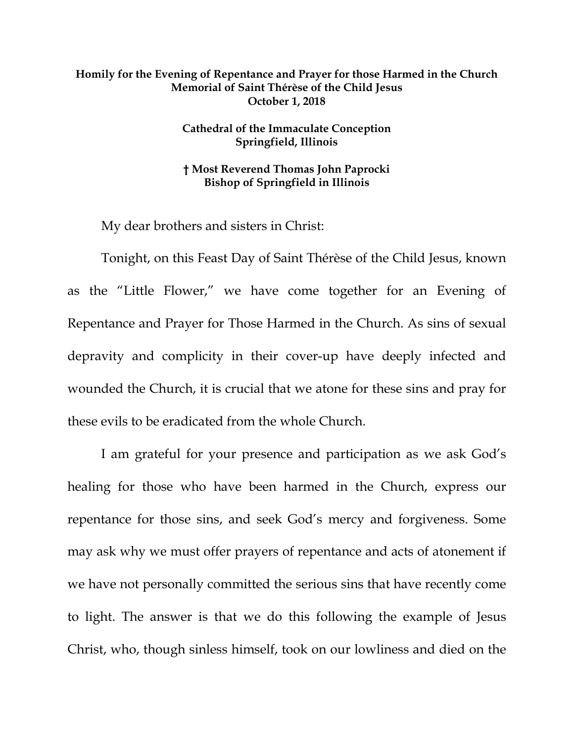## **Homily for the Evening of Repentance and Prayer for those Harmed in the Church Memorial of Saint Thérèse of the Child Jesus October 1, 2018**

## **Cathedral of the Immaculate Conception Springfield, Illinois**

## **† Most Reverend Thomas John Paprocki Bishop of Springfield in Illinois**

My dear brothers and sisters in Christ:

Tonight, on this Feast Day of Saint Thérèse of the Child Jesus, known as the "Little Flower," we have come together for an Evening of Repentance and Prayer for Those Harmed in the Church. As sins of sexual depravity and complicity in their cover-up have deeply infected and wounded the Church, it is crucial that we atone for these sins and pray for these evils to be eradicated from the whole Church.

I am grateful for your presence and participation as we ask God's healing for those who have been harmed in the Church, express our repentance for those sins, and seek God's mercy and forgiveness. Some may ask why we must offer prayers of repentance and acts of atonement if we have not personally committed the serious sins that have recently come to light. The answer is that we do this following the example of Jesus Christ, who, though sinless himself, took on our lowliness and died on the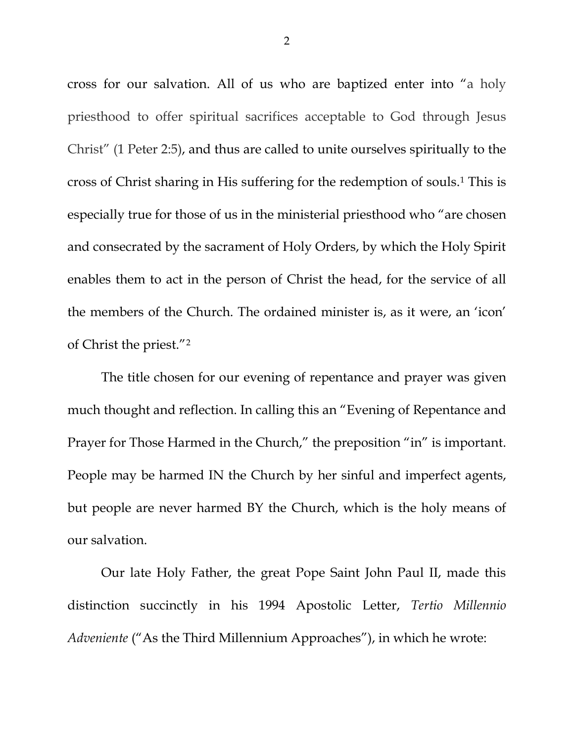cross for our salvation. All of us who are baptized enter into "a holy priesthood to offer spiritual sacrifices acceptable to God through Jesus Christ" (1 Peter 2:5), and thus are called to unite ourselves spiritually to the cross of Christ sharing in His suffering for the redemption of souls.[1](#page-5-0) This is especially true for those of us in the ministerial priesthood who "are chosen and consecrated by the sacrament of Holy Orders, by which the Holy Spirit enables them to act in the person of Christ the head, for the service of all the members of the Church. The ordained minister is, as it were, an 'icon' of Christ the priest."[2](#page-5-1)

The title chosen for our evening of repentance and prayer was given much thought and reflection. In calling this an "Evening of Repentance and Prayer for Those Harmed in the Church," the preposition "in" is important. People may be harmed IN the Church by her sinful and imperfect agents, but people are never harmed BY the Church, which is the holy means of our salvation.

Our late Holy Father, the great Pope Saint John Paul II, made this distinction succinctly in his 1994 Apostolic Letter, *Tertio Millennio Adveniente* ("As the Third Millennium Approaches"), in which he wrote: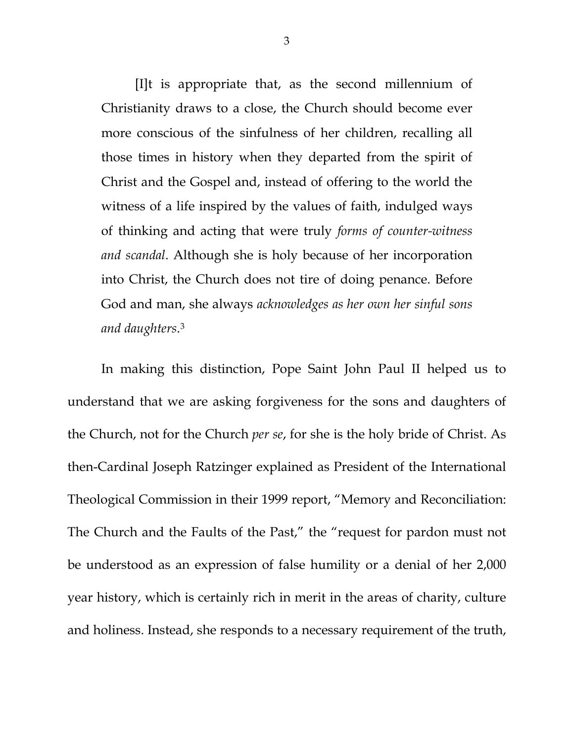[I]t is appropriate that, as the second millennium of Christianity draws to a close, the Church should become ever more conscious of the sinfulness of her children, recalling all those times in history when they departed from the spirit of Christ and the Gospel and, instead of offering to the world the witness of a life inspired by the values of faith, indulged ways of thinking and acting that were truly *forms of counter-witness and scandal*. Although she is holy because of her incorporation into Christ, the Church does not tire of doing penance. Before God and man, she always *acknowledges as her own her sinful sons and daughters*[.3](#page-5-2)

In making this distinction, Pope Saint John Paul II helped us to understand that we are asking forgiveness for the sons and daughters of the Church, not for the Church *per se*, for she is the holy bride of Christ. As then-Cardinal Joseph Ratzinger explained as President of the International Theological Commission in their 1999 report, "Memory and Reconciliation: The Church and the Faults of the Past," the "request for pardon must not be understood as an expression of false humility or a denial of her 2,000 year history, which is certainly rich in merit in the areas of charity, culture and holiness. Instead, she responds to a necessary requirement of the truth,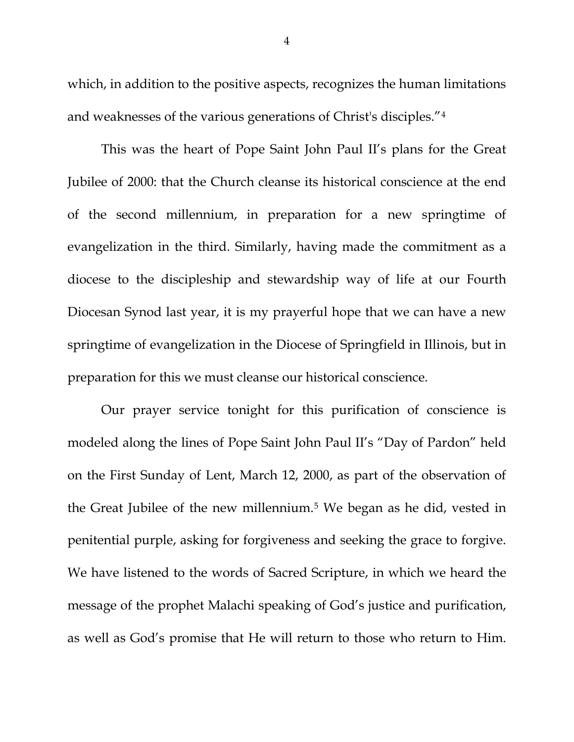which, in addition to the positive aspects, recognizes the human limitations and weaknesses of the various generations of Christ's disciples."[4](#page-5-3)

This was the heart of Pope Saint John Paul II's plans for the Great Jubilee of 2000: that the Church cleanse its historical conscience at the end of the second millennium, in preparation for a new springtime of evangelization in the third. Similarly, having made the commitment as a diocese to the discipleship and stewardship way of life at our Fourth Diocesan Synod last year, it is my prayerful hope that we can have a new springtime of evangelization in the Diocese of Springfield in Illinois, but in preparation for this we must cleanse our historical conscience.

Our prayer service tonight for this purification of conscience is modeled along the lines of Pope Saint John Paul II's "Day of Pardon" held on the First Sunday of Lent, March 12, 2000, as part of the observation of the Great Jubilee of the new millennium.[5](#page-5-4) We began as he did, vested in penitential purple, asking for forgiveness and seeking the grace to forgive. We have listened to the words of Sacred Scripture, in which we heard the message of the prophet Malachi speaking of God's justice and purification, as well as God's promise that He will return to those who return to Him.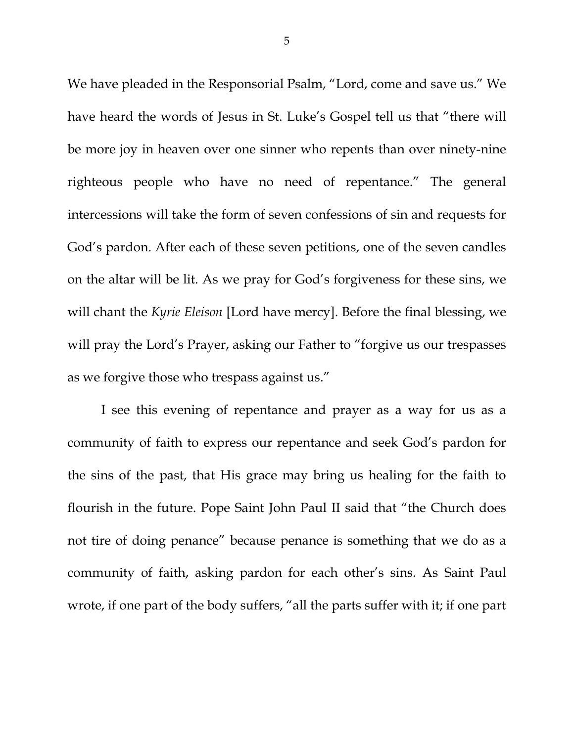We have pleaded in the Responsorial Psalm, "Lord, come and save us." We have heard the words of Jesus in St. Luke's Gospel tell us that "there will be more joy in heaven over one sinner who repents than over ninety-nine righteous people who have no need of repentance." The general intercessions will take the form of seven confessions of sin and requests for God's pardon. After each of these seven petitions, one of the seven candles on the altar will be lit. As we pray for God's forgiveness for these sins, we will chant the *Kyrie Eleison* [Lord have mercy]. Before the final blessing, we will pray the Lord's Prayer, asking our Father to "forgive us our trespasses as we forgive those who trespass against us."

I see this evening of repentance and prayer as a way for us as a community of faith to express our repentance and seek God's pardon for the sins of the past, that His grace may bring us healing for the faith to flourish in the future. Pope Saint John Paul II said that "the Church does not tire of doing penance" because penance is something that we do as a community of faith, asking pardon for each other's sins. As Saint Paul wrote, if one part of the body suffers, "all the parts suffer with it; if one part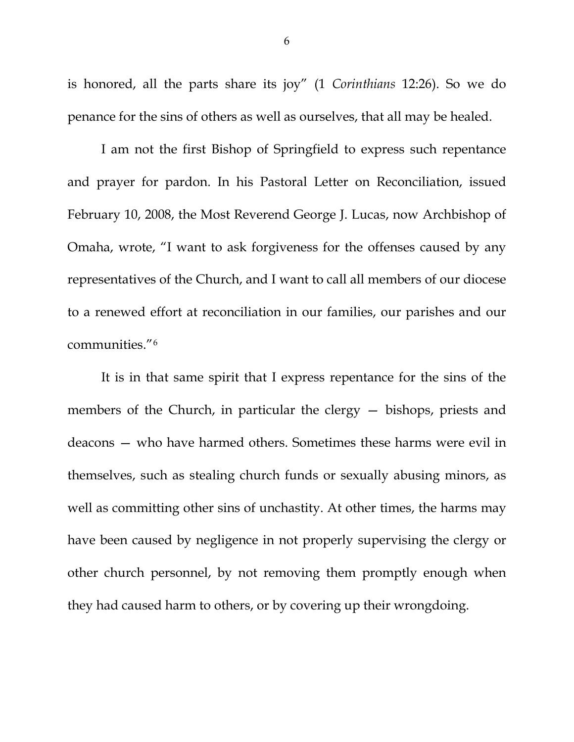is honored, all the parts share its joy" (1 *Corinthians* 12:26). So we do penance for the sins of others as well as ourselves, that all may be healed.

I am not the first Bishop of Springfield to express such repentance and prayer for pardon. In his Pastoral Letter on Reconciliation, issued February 10, 2008, the Most Reverend George J. Lucas, now Archbishop of Omaha, wrote, "I want to ask forgiveness for the offenses caused by any representatives of the Church, and I want to call all members of our diocese to a renewed effort at reconciliation in our families, our parishes and our communities."[6](#page-5-5)

<span id="page-5-6"></span><span id="page-5-5"></span><span id="page-5-4"></span><span id="page-5-3"></span><span id="page-5-2"></span><span id="page-5-1"></span><span id="page-5-0"></span>It is in that same spirit that I express repentance for the sins of the members of the Church, in particular the clergy — bishops, priests and deacons — who have harmed others. Sometimes these harms were evil in themselves, such as stealing church funds or sexually abusing minors, as well as committing other sins of unchastity. At other times, the harms may have been caused by negligence in not properly supervising the clergy or other church personnel, by not removing them promptly enough when they had caused harm to others, or by covering up their wrongdoing.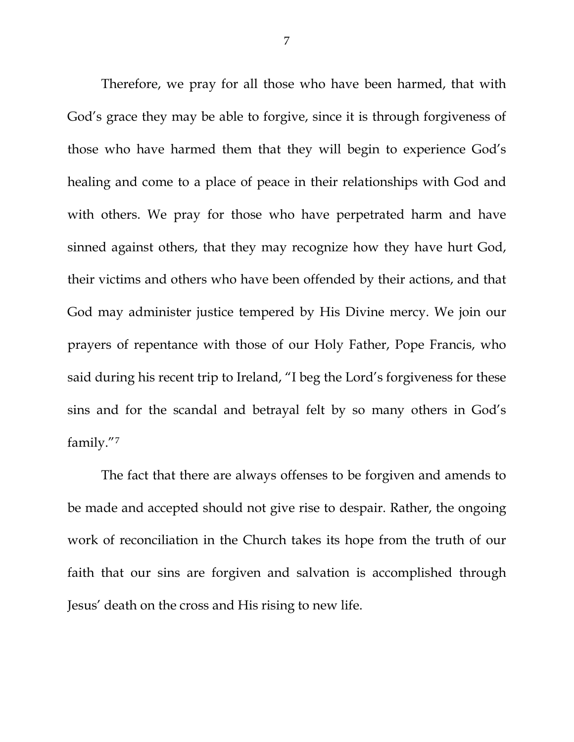Therefore, we pray for all those who have been harmed, that with God's grace they may be able to forgive, since it is through forgiveness of those who have harmed them that they will begin to experience God's healing and come to a place of peace in their relationships with God and with others. We pray for those who have perpetrated harm and have sinned against others, that they may recognize how they have hurt God, their victims and others who have been offended by their actions, and that God may administer justice tempered by His Divine mercy. We join our prayers of repentance with those of our Holy Father, Pope Francis, who said during his recent trip to Ireland, "I beg the Lord's forgiveness for these sins and for the scandal and betrayal felt by so many others in God's family."[7](#page-5-6)

The fact that there are always offenses to be forgiven and amends to be made and accepted should not give rise to despair. Rather, the ongoing work of reconciliation in the Church takes its hope from the truth of our faith that our sins are forgiven and salvation is accomplished through Jesus' death on the cross and His rising to new life.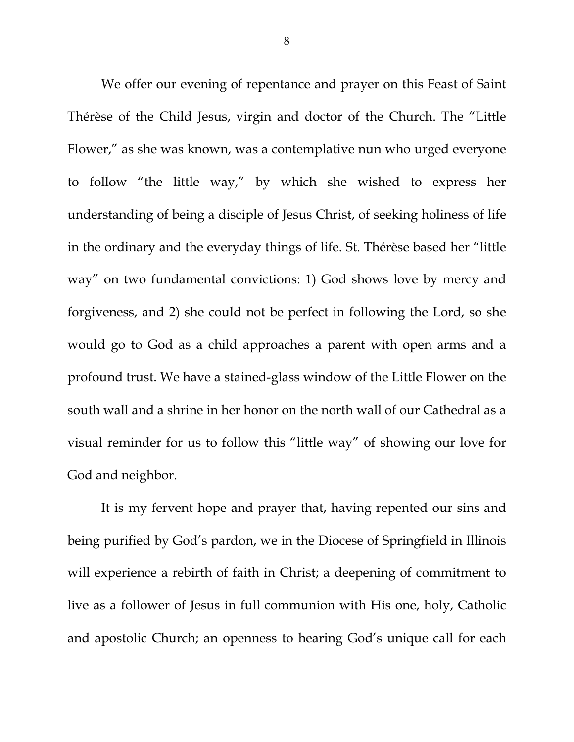We offer our evening of repentance and prayer on this Feast of Saint Thérèse of the Child Jesus, virgin and doctor of the Church. The "Little Flower," as she was known, was a contemplative nun who urged everyone to follow "the little way," by which she wished to express her understanding of being a disciple of Jesus Christ, of seeking holiness of life in the ordinary and the everyday things of life. St. Thérèse based her "little way" on two fundamental convictions: 1) God shows love by mercy and forgiveness, and 2) she could not be perfect in following the Lord, so she would go to God as a child approaches a parent with open arms and a profound trust. We have a stained-glass window of the Little Flower on the south wall and a shrine in her honor on the north wall of our Cathedral as a visual reminder for us to follow this "little way" of showing our love for God and neighbor.

It is my fervent hope and prayer that, having repented our sins and being purified by God's pardon, we in the Diocese of Springfield in Illinois will experience a rebirth of faith in Christ; a deepening of commitment to live as a follower of Jesus in full communion with His one, holy, Catholic and apostolic Church; an openness to hearing God's unique call for each